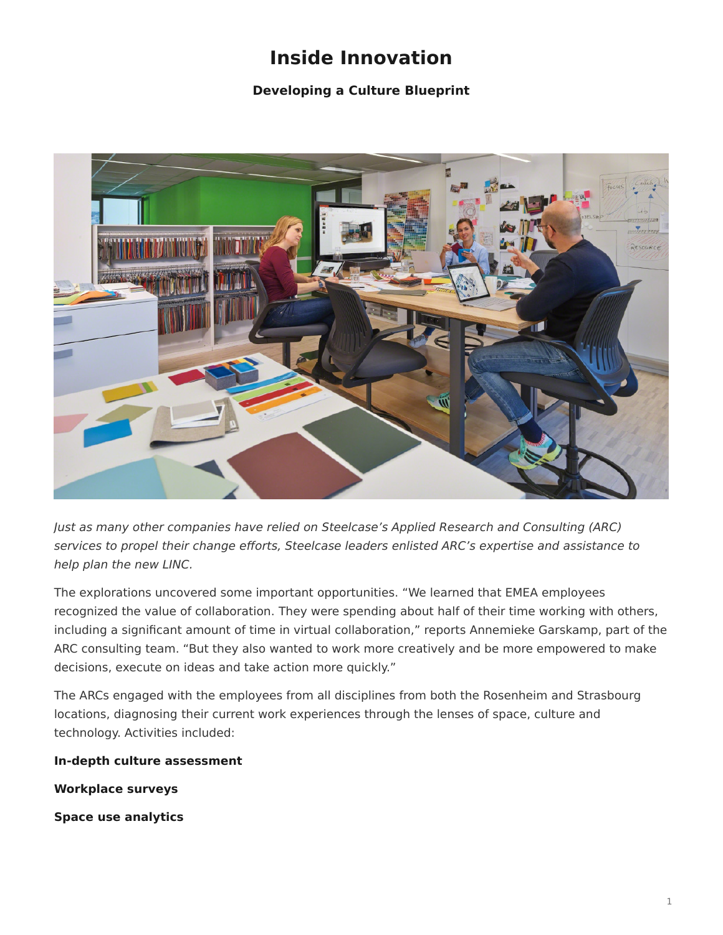# **Inside Innovation**

## **Developing a Culture Blueprint**

<span id="page-0-0"></span>

Just as many other companies have relied on Steelcase's Applied Research and Consulting (ARC) services to propel their change efforts, Steelcase leaders enlisted ARC's expertise and assistance to help plan the new LINC.

The explorations uncovered some important opportunities. "We learned that EMEA employees recognized the value of collaboration. They were spending about half of their time working with others, including a significant amount of time in virtual collaboration," reports Annemieke Garskamp, part of the ARC consulting team. "But they also wanted to work more creatively and be more empowered to make decisions, execute on ideas and take action more quickly."

The ARCs engaged with the employees from all disciplines from both the Rosenheim and Strasbourg locations, diagnosing their current work experiences through the lenses of space, culture and technology. Activities included:

**In-depth culture assessment**

**Workplace surveys**

**Space use analytics**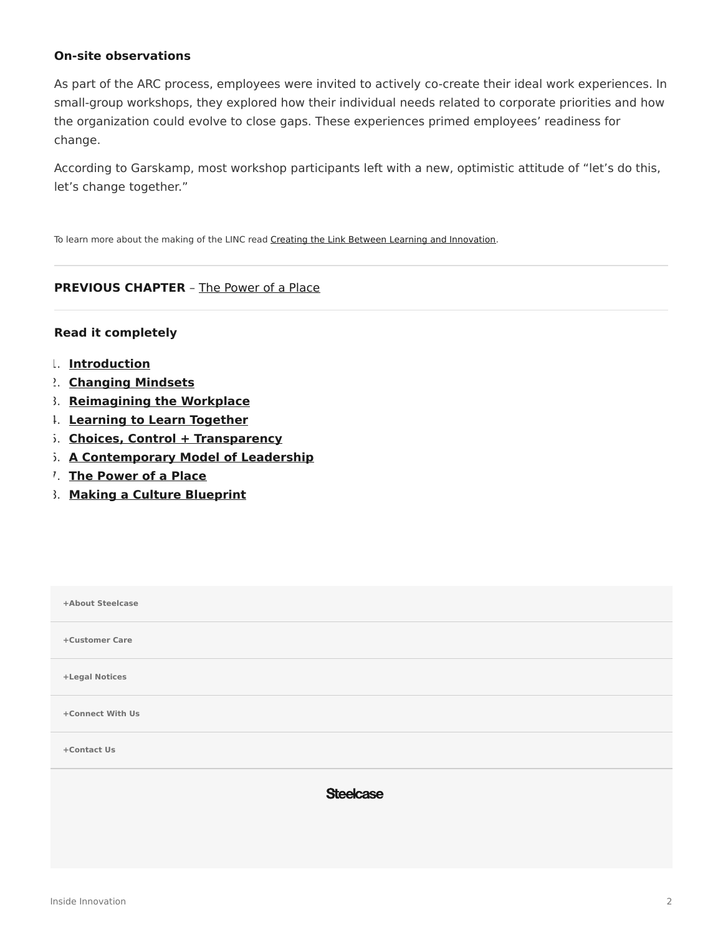#### **On-site observations**

As part of the ARC process, employees were invited to actively co-create their ideal work experiences. In small-group workshops, they explored how their individual needs related to corporate priorities and how the organization could evolve to close gaps. These experiences primed employees' readiness for change.

According to Garskamp, most workshop participants left with a new, optimistic attitude of "let's do this, let's change together."

To learn more about the making of the LINC read [Creating the Link Between Learning and Innovation](https://www.steelcase.com/research/articles/creating-link-learning-innovation/).

### **PREVIOUS CHAPTER** – [The Power of a Place](https://www.steelcase.com/research/articles/inside-innovation-power-place/)

#### **Read it completely**

- 1. **[Introduction](https://www.steelcase.com/research/articles/inside-innovation/)**
- 2. **[Changing Mindsets](https://www.steelcase.com/research/articles/inside-innovation-changing-mindsets/)**
- 3. **[Reimagining the Workplace](https://www.steelcase.com/research/articles/inside-innovation-reimagining-workplace/)**
- 4. **[Learning to Learn Together](https://www.steelcase.com/research/articles/inside-innovation-learning-learn-together/)**
- 5. **[Choices, Control + Transparency](https://www.steelcase.com/research/articles/inside-innovation-choice-control-transparency/)**
- 6. **[A Contemporary Model of Leadership](https://www.steelcase.com/research/articles/inside-innovation-contemporary-model-leadership/)**
- 7. **[The Power of a Place](https://www.steelcase.com/research/articles/inside-innovation-power-place/)**
- 8. **[Making a Culture Blueprint](https://www.steelcase.com/research/articles/inside-innovation-developing-culture-blueprint/)**

| +About Steelcase |  |
|------------------|--|
| +Customer Care   |  |
| +Legal Notices   |  |
| +Connect With Us |  |
| +Contact Us      |  |
| <b>Steelcase</b> |  |
|                  |  |